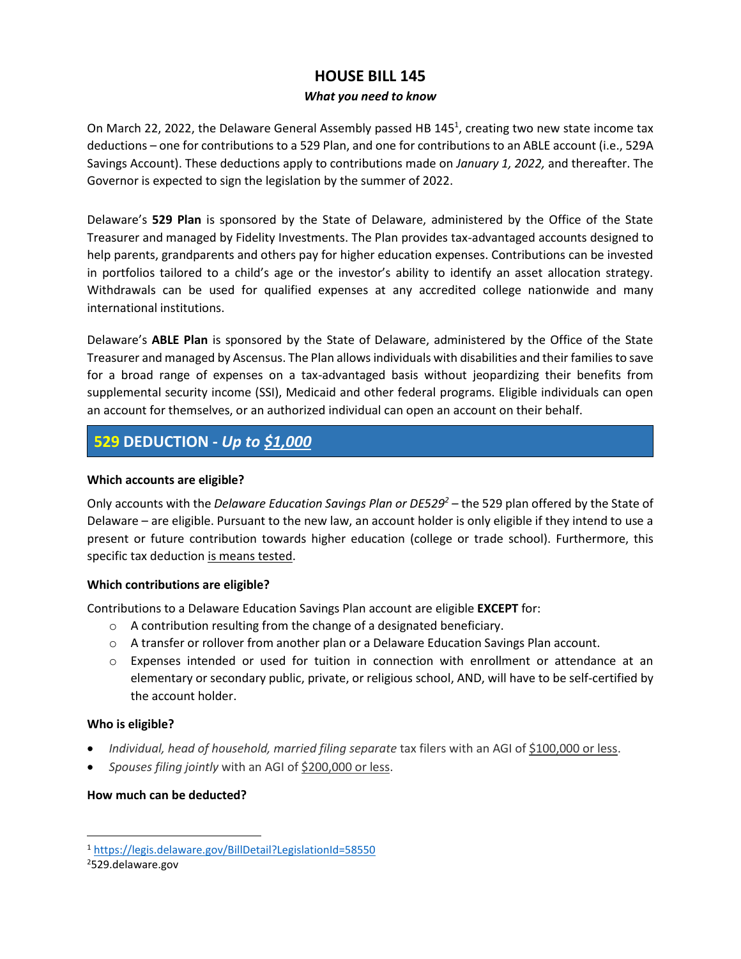## **HOUSE BILL 145**

### *What you need to know*

On March 22, 2022, the Delaware General Assembly passed HB 145<sup>1</sup>, creating two new state income tax deductions – one for contributions to a 529 Plan, and one for contributions to an ABLE account (i.e., 529A Savings Account). These deductions apply to contributions made on *January 1, 2022,* and thereafter. The Governor is expected to sign the legislation by the summer of 2022.

Delaware's **529 Plan** is sponsored by the State of Delaware, administered by the Office of the State Treasurer and managed by Fidelity Investments. The Plan provides tax-advantaged accounts designed to help parents, grandparents and others pay for higher education expenses. Contributions can be invested in portfolios tailored to a child's age or the investor's ability to identify an asset allocation strategy. Withdrawals can be used for qualified expenses at any accredited college nationwide and many international institutions.

Delaware's **ABLE Plan** is sponsored by the State of Delaware, administered by the Office of the State Treasurer and managed by Ascensus. The Plan allows individuals with disabilities and their families to save for a broad range of expenses on a tax-advantaged basis without jeopardizing their benefits from supplemental security income (SSI), Medicaid and other federal programs. Eligible individuals can open an account for themselves, or an authorized individual can open an account on their behalf.

# **529 DEDUCTION -** *Up to \$1,000*

## **Which accounts are eligible?**

Only accounts with the *Delaware Education Savings Plan or DE529<sup>2</sup> –* the 529 plan offered by the State of Delaware – are eligible. Pursuant to the new law, an account holder is only eligible if they intend to use a present or future contribution towards higher education (college or trade school). Furthermore, this specific tax deduction is means tested.

### **Which contributions are eligible?**

Contributions to a Delaware Education Savings Plan account are eligible **EXCEPT** for:

- o A contribution resulting from the change of a designated beneficiary.
- o A transfer or rollover from another plan or a Delaware Education Savings Plan account.
- o Expenses intended or used for tuition in connection with enrollment or attendance at an elementary or secondary public, private, or religious school, AND, will have to be self-certified by the account holder.

## **Who is eligible?**

- *Individual, head of household, married filing separate tax filers with an AGI of \$100,000 or less.*
- *Spouses filing jointly* with an AGI of \$200,000 or less.

## **How much can be deducted?**

<sup>1</sup> <https://legis.delaware.gov/BillDetail?LegislationId=58550>

<sup>2</sup>529.delaware.gov